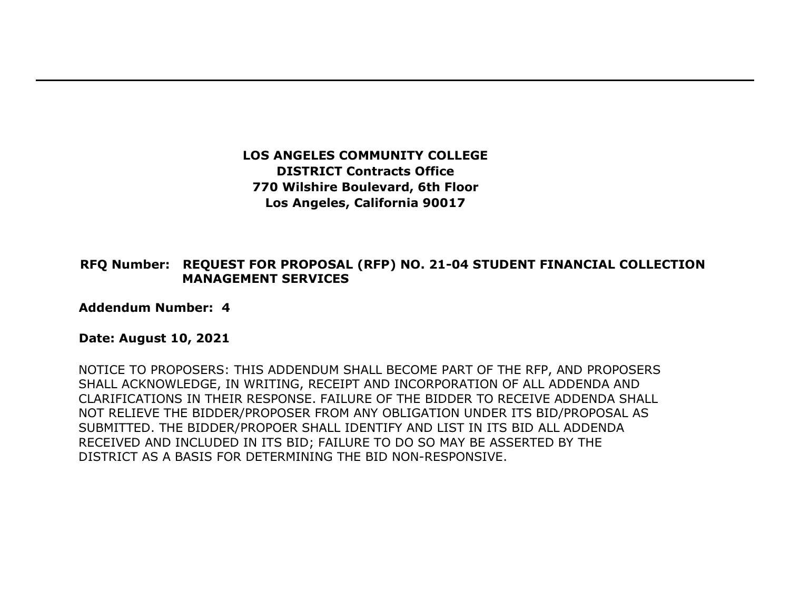**LOS ANGELES COMMUNITY COLLEGE DISTRICT Contracts Office 770 Wilshire Boulevard, 6th Floor Los Angeles, California 90017** 

## **RFQ Number: REQUEST FOR PROPOSAL (RFP) NO. 21-04 STUDENT FINANCIAL COLLECTION MANAGEMENT SERVICES**

**Addendum Number: 4**

## **Date: August 10, 2021**

NOTICE TO PROPOSERS: THIS ADDENDUM SHALL BECOME PART OF THE RFP, AND PROPOSERS SHALL ACKNOWLEDGE, IN WRITING, RECEIPT AND INCORPORATION OF ALL ADDENDA AND CLARIFICATIONS IN THEIR RESPONSE. FAILURE OF THE BIDDER TO RECEIVE ADDENDA SHALL NOT RELIEVE THE BIDDER/PROPOSER FROM ANY OBLIGATION UNDER ITS BID/PROPOSAL AS SUBMITTED. THE BIDDER/PROPOER SHALL IDENTIFY AND LIST IN ITS BID ALL ADDENDA RECEIVED AND INCLUDED IN ITS BID; FAILURE TO DO SO MAY BE ASSERTED BY THE DISTRICT AS A BASIS FOR DETERMINING THE BID NON-RESPONSIVE.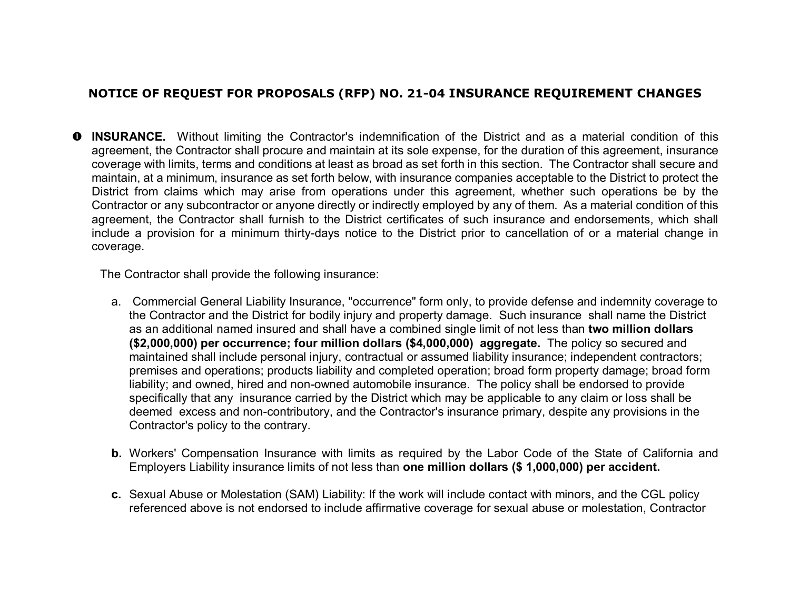## **NOTICE OF REQUEST FOR PROPOSALS (RFP) NO. 21-04 INSURANCE REQUIREMENT CHANGES**

 **INSURANCE.** Without limiting the Contractor's indemnification of the District and as a material condition of this agreement, the Contractor shall procure and maintain at its sole expense, for the duration of this agreement, insurance coverage with limits, terms and conditions at least as broad as set forth in this section. The Contractor shall secure and maintain, at a minimum, insurance as set forth below, with insurance companies acceptable to the District to protect the District from claims which may arise from operations under this agreement, whether such operations be by the Contractor or any subcontractor or anyone directly or indirectly employed by any of them. As a material condition of this agreement, the Contractor shall furnish to the District certificates of such insurance and endorsements, which shall include a provision for a minimum thirty-days notice to the District prior to cancellation of or a material change in coverage.

The Contractor shall provide the following insurance:

- a. Commercial General Liability Insurance, "occurrence" form only, to provide defense and indemnity coverage to the Contractor and the District for bodily injury and property damage. Such insurance shall name the District as an additional named insured and shall have a combined single limit of not less than **two million dollars (\$2,000,000) per occurrence; four million dollars (\$4,000,000) aggregate.** The policy so secured and maintained shall include personal injury, contractual or assumed liability insurance; independent contractors; premises and operations; products liability and completed operation; broad form property damage; broad form liability; and owned, hired and non-owned automobile insurance. The policy shall be endorsed to provide specifically that any insurance carried by the District which may be applicable to any claim or loss shall be deemed excess and non-contributory, and the Contractor's insurance primary, despite any provisions in the Contractor's policy to the contrary.
- **b.** Workers' Compensation Insurance with limits as required by the Labor Code of the State of California and Employers Liability insurance limits of not less than **one million dollars (\$ 1,000,000) per accident.**
- **c.** Sexual Abuse or Molestation (SAM) Liability: If the work will include contact with minors, and the CGL policy referenced above is not endorsed to include affirmative coverage for sexual abuse or molestation, Contractor